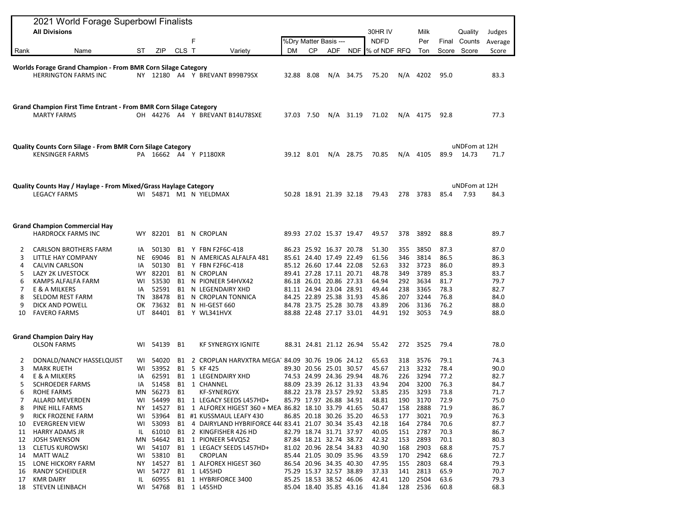| <b>All Divisions</b><br>F<br>CLS T<br>ZIP<br>Rank<br>Name<br>ST<br>Variety<br><b>DM</b><br>Worlds Forage Grand Champion - From BMR Corn Silage Category<br><b>HERRINGTON FARMS INC</b><br>NY 12180 A4 Y BREVANT B99B79SX<br>Grand Champion First Time Entrant - From BMR Corn Silage Category<br><b>MARTY FARMS</b><br>OH 44276 A4 Y BREVANT B14U78SXE<br>Quality Counts Corn Silage - From BMR Corn Silage Category<br><b>KENSINGER FARMS</b><br>PA 16662 A4 Y P1180XR<br>Quality Counts Hay / Haylage - From Mixed/Grass Haylage Category<br><b>LEGACY FARMS</b><br>WI 54871 M1 N YIELDMAX<br><b>Grand Champion Commercial Hay</b><br><b>HARDROCK FARMS INC</b><br>WY 82201<br>B1 N CROPLAN<br>50130<br>Y FBN F2F6C-418<br><b>CARLSON BROTHERS FARM</b><br>B1<br>2<br>IA<br><b>NE</b><br>69046<br>3<br>LITTLE HAY COMPANY<br>B1<br>N AMERICAS ALFALFA 481<br>50130<br><b>CALVIN CARLSON</b><br>IA<br>B1<br>Y FBN F2F6C-418<br>4<br>5<br>82201<br>N CROPLAN<br>LAZY 2K LIVESTOCK<br>WY.<br>B1<br>53530<br>N PIONEER 54HVX42<br>6<br>KAMPS ALFALFA FARM<br>WI<br>B1<br>52591<br>7<br>E & A MILKERS<br>B1<br>N LEGENDAIRY XHD<br>IA<br>38478<br>B1<br>N CROPLAN TONNICA<br>8<br>SELDOM REST FARM<br>TN<br>73632<br><b>B1</b><br>9<br>DICK AND POWELL<br>OK<br>N HI-GEST 660<br><b>FAVERO FARMS</b><br>UT 84401<br>B1 Y WL341HVX<br>10<br><b>Grand Champion Dairy Hay</b><br><b>OLSON FARMS</b><br>WI 54139<br><b>B1</b><br><b>KF SYNERGYX IGNITE</b><br>88.31 24.81 21.12 26.94 | %Drv Matter Basis ---<br>СP<br>32.88 8.08<br>37.03 7.50<br>39.12 8.01<br>50.28 18.91 21.39 32.18 | ADF<br>N/A | 34.75<br>$N/A$ 31.19<br>$N/A$ 28.75 | 30HR IV<br><b>NDFD</b><br>NDF  % of NDF RFQ<br>75.20<br>71.02<br>70.85<br>79.43 | N/A<br>N/A<br>278 | Milk<br>Per<br>Ton<br>4202<br>N/A 4175<br>4105 | Score<br>95.0<br>92.8<br>89.9 | Quality<br>Final Counts<br>Score<br>uNDFom at 12H<br>14.73 | Judges<br>Average<br>Score<br>83.3<br>77.3<br>71.7 |
|--------------------------------------------------------------------------------------------------------------------------------------------------------------------------------------------------------------------------------------------------------------------------------------------------------------------------------------------------------------------------------------------------------------------------------------------------------------------------------------------------------------------------------------------------------------------------------------------------------------------------------------------------------------------------------------------------------------------------------------------------------------------------------------------------------------------------------------------------------------------------------------------------------------------------------------------------------------------------------------------------------------------------------------------------------------------------------------------------------------------------------------------------------------------------------------------------------------------------------------------------------------------------------------------------------------------------------------------------------------------------------------------------------------------------------------------------------------------------------|--------------------------------------------------------------------------------------------------|------------|-------------------------------------|---------------------------------------------------------------------------------|-------------------|------------------------------------------------|-------------------------------|------------------------------------------------------------|----------------------------------------------------|
|                                                                                                                                                                                                                                                                                                                                                                                                                                                                                                                                                                                                                                                                                                                                                                                                                                                                                                                                                                                                                                                                                                                                                                                                                                                                                                                                                                                                                                                                                |                                                                                                  |            |                                     |                                                                                 |                   |                                                |                               |                                                            |                                                    |
|                                                                                                                                                                                                                                                                                                                                                                                                                                                                                                                                                                                                                                                                                                                                                                                                                                                                                                                                                                                                                                                                                                                                                                                                                                                                                                                                                                                                                                                                                |                                                                                                  |            |                                     |                                                                                 |                   |                                                |                               |                                                            |                                                    |
|                                                                                                                                                                                                                                                                                                                                                                                                                                                                                                                                                                                                                                                                                                                                                                                                                                                                                                                                                                                                                                                                                                                                                                                                                                                                                                                                                                                                                                                                                |                                                                                                  |            |                                     |                                                                                 |                   |                                                |                               |                                                            |                                                    |
|                                                                                                                                                                                                                                                                                                                                                                                                                                                                                                                                                                                                                                                                                                                                                                                                                                                                                                                                                                                                                                                                                                                                                                                                                                                                                                                                                                                                                                                                                |                                                                                                  |            |                                     |                                                                                 |                   |                                                |                               |                                                            |                                                    |
|                                                                                                                                                                                                                                                                                                                                                                                                                                                                                                                                                                                                                                                                                                                                                                                                                                                                                                                                                                                                                                                                                                                                                                                                                                                                                                                                                                                                                                                                                |                                                                                                  |            |                                     |                                                                                 |                   |                                                |                               |                                                            |                                                    |
|                                                                                                                                                                                                                                                                                                                                                                                                                                                                                                                                                                                                                                                                                                                                                                                                                                                                                                                                                                                                                                                                                                                                                                                                                                                                                                                                                                                                                                                                                |                                                                                                  |            |                                     |                                                                                 |                   |                                                |                               |                                                            |                                                    |
|                                                                                                                                                                                                                                                                                                                                                                                                                                                                                                                                                                                                                                                                                                                                                                                                                                                                                                                                                                                                                                                                                                                                                                                                                                                                                                                                                                                                                                                                                |                                                                                                  |            |                                     |                                                                                 |                   |                                                |                               |                                                            |                                                    |
|                                                                                                                                                                                                                                                                                                                                                                                                                                                                                                                                                                                                                                                                                                                                                                                                                                                                                                                                                                                                                                                                                                                                                                                                                                                                                                                                                                                                                                                                                |                                                                                                  |            |                                     |                                                                                 |                   |                                                |                               |                                                            |                                                    |
|                                                                                                                                                                                                                                                                                                                                                                                                                                                                                                                                                                                                                                                                                                                                                                                                                                                                                                                                                                                                                                                                                                                                                                                                                                                                                                                                                                                                                                                                                |                                                                                                  |            |                                     |                                                                                 |                   |                                                |                               | uNDFom at 12H                                              |                                                    |
|                                                                                                                                                                                                                                                                                                                                                                                                                                                                                                                                                                                                                                                                                                                                                                                                                                                                                                                                                                                                                                                                                                                                                                                                                                                                                                                                                                                                                                                                                |                                                                                                  |            |                                     |                                                                                 |                   | 3783                                           | 85.4                          | 7.93                                                       | 84.3                                               |
|                                                                                                                                                                                                                                                                                                                                                                                                                                                                                                                                                                                                                                                                                                                                                                                                                                                                                                                                                                                                                                                                                                                                                                                                                                                                                                                                                                                                                                                                                |                                                                                                  |            |                                     |                                                                                 |                   |                                                |                               |                                                            |                                                    |
|                                                                                                                                                                                                                                                                                                                                                                                                                                                                                                                                                                                                                                                                                                                                                                                                                                                                                                                                                                                                                                                                                                                                                                                                                                                                                                                                                                                                                                                                                | 89.93 27.02 15.37 19.47                                                                          |            |                                     | 49.57                                                                           | 378               | 3892                                           | 88.8                          |                                                            | 89.7                                               |
|                                                                                                                                                                                                                                                                                                                                                                                                                                                                                                                                                                                                                                                                                                                                                                                                                                                                                                                                                                                                                                                                                                                                                                                                                                                                                                                                                                                                                                                                                | 86.23 25.92 16.37 20.78                                                                          |            |                                     | 51.30                                                                           | 355               | 3850                                           | 87.3                          |                                                            | 87.0                                               |
|                                                                                                                                                                                                                                                                                                                                                                                                                                                                                                                                                                                                                                                                                                                                                                                                                                                                                                                                                                                                                                                                                                                                                                                                                                                                                                                                                                                                                                                                                | 85.61 24.40 17.49 22.49                                                                          |            |                                     | 61.56                                                                           | 346               | 3814                                           | 86.5                          |                                                            | 86.3                                               |
|                                                                                                                                                                                                                                                                                                                                                                                                                                                                                                                                                                                                                                                                                                                                                                                                                                                                                                                                                                                                                                                                                                                                                                                                                                                                                                                                                                                                                                                                                | 85.12 26.60 17.44 22.08                                                                          |            |                                     | 52.63                                                                           | 332               | 3723                                           | 86.0                          |                                                            | 89.3                                               |
|                                                                                                                                                                                                                                                                                                                                                                                                                                                                                                                                                                                                                                                                                                                                                                                                                                                                                                                                                                                                                                                                                                                                                                                                                                                                                                                                                                                                                                                                                | 89.41 27.28 17.11 20.71                                                                          |            |                                     | 48.78                                                                           | 349               | 3789                                           | 85.3                          |                                                            | 83.7                                               |
|                                                                                                                                                                                                                                                                                                                                                                                                                                                                                                                                                                                                                                                                                                                                                                                                                                                                                                                                                                                                                                                                                                                                                                                                                                                                                                                                                                                                                                                                                | 86.18 26.01 20.86 27.33                                                                          |            |                                     | 64.94                                                                           | 292               | 3634                                           | 81.7                          |                                                            | 79.7                                               |
|                                                                                                                                                                                                                                                                                                                                                                                                                                                                                                                                                                                                                                                                                                                                                                                                                                                                                                                                                                                                                                                                                                                                                                                                                                                                                                                                                                                                                                                                                | 81.11 24.94 23.04 28.91                                                                          |            |                                     | 49.44                                                                           | 238               | 3365                                           | 78.3                          |                                                            | 82.7                                               |
|                                                                                                                                                                                                                                                                                                                                                                                                                                                                                                                                                                                                                                                                                                                                                                                                                                                                                                                                                                                                                                                                                                                                                                                                                                                                                                                                                                                                                                                                                | 84.25 22.89 25.38 31.93                                                                          |            |                                     | 45.86                                                                           | 207               | 3244                                           | 76.8                          |                                                            | 84.0                                               |
|                                                                                                                                                                                                                                                                                                                                                                                                                                                                                                                                                                                                                                                                                                                                                                                                                                                                                                                                                                                                                                                                                                                                                                                                                                                                                                                                                                                                                                                                                | 84.78 23.75 25.28 30.78                                                                          |            |                                     | 43.89                                                                           | 206               | 3136                                           | 76.2                          |                                                            | 88.0                                               |
|                                                                                                                                                                                                                                                                                                                                                                                                                                                                                                                                                                                                                                                                                                                                                                                                                                                                                                                                                                                                                                                                                                                                                                                                                                                                                                                                                                                                                                                                                | 88.88 22.48 27.17 33.01                                                                          |            |                                     | 44.91                                                                           | 192               | 3053                                           | 74.9                          |                                                            | 88.0                                               |
|                                                                                                                                                                                                                                                                                                                                                                                                                                                                                                                                                                                                                                                                                                                                                                                                                                                                                                                                                                                                                                                                                                                                                                                                                                                                                                                                                                                                                                                                                |                                                                                                  |            |                                     |                                                                                 |                   |                                                |                               |                                                            |                                                    |
|                                                                                                                                                                                                                                                                                                                                                                                                                                                                                                                                                                                                                                                                                                                                                                                                                                                                                                                                                                                                                                                                                                                                                                                                                                                                                                                                                                                                                                                                                |                                                                                                  |            |                                     | 55.42                                                                           |                   | 272 3525                                       | 79.4                          |                                                            | 78.0                                               |
| DONALD/NANCY HASSELQUIST<br>54020<br>2 CROPLAN HARVXTRA MEGA 84.09 30.76 19.06 24.12<br>B1<br>2<br>WI                                                                                                                                                                                                                                                                                                                                                                                                                                                                                                                                                                                                                                                                                                                                                                                                                                                                                                                                                                                                                                                                                                                                                                                                                                                                                                                                                                          |                                                                                                  |            |                                     | 65.63                                                                           | 318               | 3576                                           | 79.1                          |                                                            | 74.3                                               |
| 53952<br>5 KF 425<br><b>B1</b><br>3<br><b>MARK RUETH</b><br>WI                                                                                                                                                                                                                                                                                                                                                                                                                                                                                                                                                                                                                                                                                                                                                                                                                                                                                                                                                                                                                                                                                                                                                                                                                                                                                                                                                                                                                 | 89.30 20.56 25.01 30.57                                                                          |            |                                     | 45.67                                                                           | 213               | 3232                                           | 78.4                          |                                                            | 90.0                                               |
| 62591<br>E & A MILKERS<br>B1<br>1 LEGENDAIRY XHD<br>4<br>IA                                                                                                                                                                                                                                                                                                                                                                                                                                                                                                                                                                                                                                                                                                                                                                                                                                                                                                                                                                                                                                                                                                                                                                                                                                                                                                                                                                                                                    | 74.53 24.99 24.36 29.94                                                                          |            |                                     | 48.76                                                                           | 226               | 3294                                           | 77.2                          |                                                            | 82.7                                               |
| 5<br><b>SCHROEDER FARMS</b><br>51458<br>B1<br>1 CHANNEL<br>IA                                                                                                                                                                                                                                                                                                                                                                                                                                                                                                                                                                                                                                                                                                                                                                                                                                                                                                                                                                                                                                                                                                                                                                                                                                                                                                                                                                                                                  | 88.09 23.39 26.12 31.33                                                                          |            |                                     | 43.94                                                                           | 204               | 3200                                           | 76.3                          |                                                            | 84.7                                               |
| <b>B1</b><br>6<br>ROHE FARMS<br>MN<br>56273<br><b>KF-SYNERGYX</b>                                                                                                                                                                                                                                                                                                                                                                                                                                                                                                                                                                                                                                                                                                                                                                                                                                                                                                                                                                                                                                                                                                                                                                                                                                                                                                                                                                                                              | 88.22 23.78 23.57 29.92                                                                          |            |                                     | 53.85                                                                           | 235               | 3293                                           | 73.8                          |                                                            | 71.7                                               |
| 7<br>ALLARD MEVERDEN<br>54499<br>B1 1 LEGACY SEEDS L457HD+<br>WI                                                                                                                                                                                                                                                                                                                                                                                                                                                                                                                                                                                                                                                                                                                                                                                                                                                                                                                                                                                                                                                                                                                                                                                                                                                                                                                                                                                                               | 85.79 17.97 26.88 34.91                                                                          |            |                                     | 48.81                                                                           | 190               | 3170                                           | 72.9                          |                                                            | 75.0                                               |
| 14527<br>B1 1 ALFOREX HIGEST 360 + MEA 86.82 18.10 33.79 41.65<br>8<br>PINE HILL FARMS<br>NY                                                                                                                                                                                                                                                                                                                                                                                                                                                                                                                                                                                                                                                                                                                                                                                                                                                                                                                                                                                                                                                                                                                                                                                                                                                                                                                                                                                   |                                                                                                  |            |                                     | 50.47                                                                           | 158               | 2888                                           | 71.9                          |                                                            | 86.7                                               |
| RICK FROZENE FARM<br>53964<br>WI<br>B1 #1 KUSSMAUL LEAFY 430<br>9                                                                                                                                                                                                                                                                                                                                                                                                                                                                                                                                                                                                                                                                                                                                                                                                                                                                                                                                                                                                                                                                                                                                                                                                                                                                                                                                                                                                              | 86.85 20.18 30.26 35.20                                                                          |            |                                     | 46.53                                                                           | 177               | 3021                                           | 70.9                          |                                                            | 76.3                                               |
| 53093<br><b>EVERGREEN VIEW</b><br>B1 4 DAIRYLAND HYBRIFORCE 44(83.41 21.07 30.34 35.43<br>WI<br>10                                                                                                                                                                                                                                                                                                                                                                                                                                                                                                                                                                                                                                                                                                                                                                                                                                                                                                                                                                                                                                                                                                                                                                                                                                                                                                                                                                             |                                                                                                  |            |                                     | 42.18                                                                           | 164               | 2784                                           | 70.6                          |                                                            | 87.7                                               |
| 61010<br><b>HARRY ADAMS JR</b><br>B1 2 KINGFISHER 426 HD<br>IL.<br>11                                                                                                                                                                                                                                                                                                                                                                                                                                                                                                                                                                                                                                                                                                                                                                                                                                                                                                                                                                                                                                                                                                                                                                                                                                                                                                                                                                                                          | 82.79 18.74 31.71 37.97                                                                          |            |                                     | 40.05                                                                           | 151               | 2787                                           | 70.3                          |                                                            | 86.7                                               |
| 54642<br><b>JOSH SWENSON</b><br>B1 1 PIONEER 54VQ52<br>12<br>MN                                                                                                                                                                                                                                                                                                                                                                                                                                                                                                                                                                                                                                                                                                                                                                                                                                                                                                                                                                                                                                                                                                                                                                                                                                                                                                                                                                                                                | 87.84 18.21 32.74 38.72                                                                          |            |                                     | 42.32                                                                           | 153               | 2893                                           | 70.1                          |                                                            | 80.3                                               |
| 54107<br><b>CLETUS KUROWSKI</b><br>WI<br>B1 1 LEGACY SEEDS L457HD+<br>13                                                                                                                                                                                                                                                                                                                                                                                                                                                                                                                                                                                                                                                                                                                                                                                                                                                                                                                                                                                                                                                                                                                                                                                                                                                                                                                                                                                                       | 81.02 20.96 28.54 34.83                                                                          |            |                                     | 40.90                                                                           | 168               | 2903                                           | 68.8                          |                                                            | 75.7                                               |
| 53810<br><b>MATT WALZ</b><br><b>B1</b><br><b>CROPLAN</b><br>WI<br>14<br>LONE HICKORY FARM<br>14527<br>B1 1 ALFOREX HIGEST 360                                                                                                                                                                                                                                                                                                                                                                                                                                                                                                                                                                                                                                                                                                                                                                                                                                                                                                                                                                                                                                                                                                                                                                                                                                                                                                                                                  | 85.44 21.05 30.09 35.96<br>86.54 20.96 34.35 40.30                                               |            |                                     | 43.59<br>47.95                                                                  | 170               | 2942<br>2803                                   | 68.6<br>68.4                  |                                                            | 72.7<br>79.3                                       |
| 15<br>NY<br>54727<br><b>RANDY SCHEIDLER</b><br>B1<br>1 L455HD<br>16<br>WI                                                                                                                                                                                                                                                                                                                                                                                                                                                                                                                                                                                                                                                                                                                                                                                                                                                                                                                                                                                                                                                                                                                                                                                                                                                                                                                                                                                                      | 75.29 15.37 32.57 38.89                                                                          |            |                                     | 37.33                                                                           | 155<br>141        | 2813                                           | 65.9                          |                                                            | 70.7                                               |
| 60955<br><b>KMR DAIRY</b><br>IL<br>B1 1 HYBRIFORCE 3400<br>17                                                                                                                                                                                                                                                                                                                                                                                                                                                                                                                                                                                                                                                                                                                                                                                                                                                                                                                                                                                                                                                                                                                                                                                                                                                                                                                                                                                                                  | 85.25 18.53 38.52 46.06                                                                          |            |                                     | 42.41                                                                           | 120               | 2504                                           | 63.6                          |                                                            | 79.3                                               |
| STEVEN LEINBACH<br>WI 54768<br>18<br>B1 1 L455HD<br>85.04 18.40 35.85 43.16                                                                                                                                                                                                                                                                                                                                                                                                                                                                                                                                                                                                                                                                                                                                                                                                                                                                                                                                                                                                                                                                                                                                                                                                                                                                                                                                                                                                    |                                                                                                  |            |                                     | 41.84                                                                           |                   | 128 2536                                       | 60.8                          |                                                            | 68.3                                               |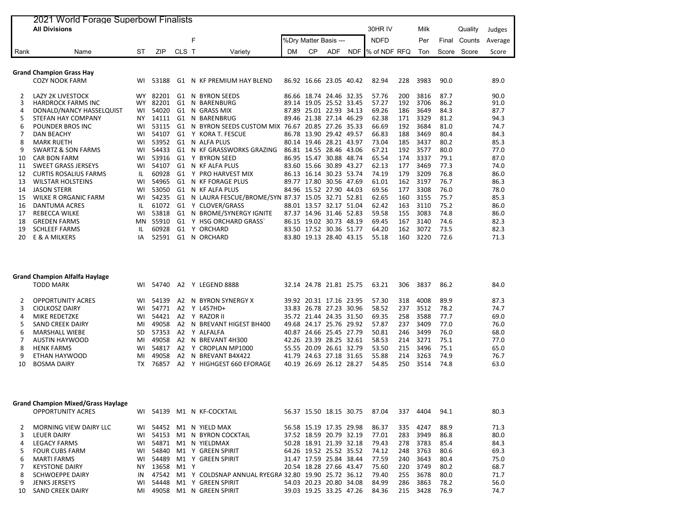| 2021 World Forage Superbowl Finalists |                                 |           |            |                |    |                                |           |                         |                   |            |              |     |      |       |         |         |
|---------------------------------------|---------------------------------|-----------|------------|----------------|----|--------------------------------|-----------|-------------------------|-------------------|------------|--------------|-----|------|-------|---------|---------|
|                                       | <b>All Divisions</b>            |           |            |                |    |                                |           |                         |                   |            | 30HR IV      |     | Milk |       | Quality | Judges  |
|                                       |                                 |           |            |                | F  |                                |           | %Dry Matter Basis ---   |                   |            | <b>NDFD</b>  |     | Per  | Final | Counts  | Average |
| Rank                                  | Name                            | ST        | <b>ZIP</b> | CLS T          |    | Variety                        | <b>DM</b> | <b>CP</b>               | <b>ADF</b>        | <b>NDF</b> | % of NDF RFQ |     | Ton  | Score | Score   | Score   |
|                                       |                                 |           |            |                |    |                                |           |                         |                   |            |              |     |      |       |         |         |
|                                       | <b>Grand Champion Grass Hay</b> |           |            |                |    |                                |           |                         |                   |            |              |     |      |       |         |         |
|                                       | <b>COZY NOOK FARM</b>           | WI        | 53188      | G1             |    | N KF PREMIUM HAY BLEND         |           | 86.92 16.66 23.05 40.42 |                   |            | 82.94        | 228 | 3983 | 90.0  |         | 89.0    |
|                                       | <b>LAZY 2K LIVESTOCK</b>        | <b>WY</b> | 82201      | G1             | N. | <b>BYRON SEEDS</b>             |           | 86.66 18.74 24.46 32.35 |                   |            | 57.76        | 200 | 3816 | 87.7  |         | 90.0    |
| 3                                     | <b>HARDROCK FARMS INC</b>       | <b>WY</b> | 82201      | G1             |    | N BARENBURG                    |           | 89.14 19.05 25.52       |                   | 33.45      | 57.27        | 192 | 3706 | 86.2  |         | 91.0    |
| 4                                     | DONALD/NANCY HASSELQUIST        | WI        | 54020      | G1             |    | N GRASS MIX                    | 87.89     |                         | 25.01 22.93       | 34.13      | 69.26        | 186 | 3649 | 84.3  |         | 87.7    |
| 5                                     | STEFAN HAY COMPANY              | <b>NY</b> | 14111      | G1             |    | N BARENBRUG                    |           | 89.46 21.38 27.14       |                   | 46.29      | 62.38        | 171 | 3329 | 81.2  |         | 94.3    |
| 6                                     | POUNDER BROS INC.               | WI        | 53115      | G1             |    | N BYRON SEEDS CUSTOM MIX       | 76.67     |                         | 20.85 27.26       | 35.33      | 66.69        | 192 | 3684 | 81.0  |         | 74.7    |
|                                       | <b>DAN BEACHY</b>               | WI        | 54107      | G1             |    | Y KORA T. FESCUE               |           | 86.78 13.90 29.42 49.57 |                   |            | 66.83        | 188 | 3469 | 80.4  |         | 84.3    |
| 8                                     | <b>MARK RUETH</b>               | WI        | 53952      | G1             |    | N ALFA PLUS                    |           | 80.14 19.46 28.21       |                   | 43.97      | 73.04        | 185 | 3437 | 80.2  |         | 85.3    |
| 9                                     | <b>SWARTZ &amp; SON FARMS</b>   | WI        | 54433      | G1             |    | N KF GRASSWORKS GRAZING        |           | 86.81 14.55 28.46       |                   | 43.06      | 67.21        | 192 | 3577 | 80.0  |         | 77.0    |
| 10                                    | <b>CAR BON FARM</b>             | WI        | 53916      | G1             | Y  | <b>BYRON SEED</b>              |           | 86.95 15.47 30.88 48.74 |                   |            | 65.54        | 174 | 3337 | 79.1  |         | 87.0    |
| 11                                    | <b>SWEET GRASS JERSEYS</b>      | WI        | 54107      | G1             |    | N KF ALFA PLUS                 |           | 83.60 15.66 30.89       |                   | 43.27      | 62.13        | 177 | 3469 | 77.3  |         | 74.0    |
| 12                                    | <b>CURTIS ROSALIUS FARMS</b>    | IL        | 60928      | G1             |    | Y PRO HARVEST MIX              | 86.13     | 16.14 30.23 53.74       |                   |            | 74.19        | 179 | 3209 | 76.8  |         | 86.0    |
| 13                                    | <b>WILSTAR HOLSTEINS</b>        | WI        | 54965      | G1             |    | N KF FORAGE PLUS               |           | 89.77 17.80 30.56 47.69 |                   |            | 61.01        | 162 | 3197 | 76.7  |         | 86.3    |
| 14                                    | <b>JASON STERR</b>              | WI        | 53050      | G1             |    | N KF ALFA PLUS                 |           | 84.96 15.52 27.90       |                   | 44.03      | 69.56        | 177 | 3308 | 76.0  |         | 78.0    |
| 15                                    | <b>WILKE R ORGANIC FARM</b>     | WI        | 54235      | G1             |    | N LAURA FESCUE/BROME/SYN 87.37 |           |                         | 15.05 32.71 52.81 |            | 62.65        | 160 | 3155 | 75.7  |         | 85.3    |
| 16                                    | <b>DANTUMA ACRES</b>            | IL        | 61072      | G1             |    | Y CLOVER/GRASS                 |           | 88.01 13.57             | 32.17             | 51.04      | 62.42        | 163 | 3110 | 75.2  |         | 86.0    |
| 17                                    | <b>REBECCA WILKE</b>            | WI        | 53818      | G1             |    | N BROME/SYNERGY IGNITE         | 87.37     |                         | 14.96 31.46       | 52.83      | 59.58        | 155 | 3083 | 74.8  |         | 86.0    |
| 18                                    | <b>GREDEN FARMS</b>             | MN        | 55910      | G1             |    | Y HSG ORCHARD GRASS            |           | 86.15 19.02 30.73       |                   | 48.19      | 69.45        | 167 | 3140 | 74.6  |         | 82.3    |
| 19                                    | <b>SCHLEEF FARMS</b>            | IL        | 60928      | G <sub>1</sub> |    | Y ORCHARD                      | 83.50     | 17.52                   | 30.36             | 51.77      | 64.20        | 162 | 3072 | 73.5  |         | 82.3    |
| 20                                    | E & A MILKERS                   | ΙA        | 52591      | G1             |    | N ORCHARD                      |           | 83.80 19.13 28.40 43.15 |                   |            | 55.18        | 160 | 3220 | 72.6  |         | 71.3    |

| <b>Grand Champion Alfalfa Haylage</b> |                          |     |       |                |  |                        |  |  |                         |  |       |     |      |      |      |
|---------------------------------------|--------------------------|-----|-------|----------------|--|------------------------|--|--|-------------------------|--|-------|-----|------|------|------|
|                                       | <b>TODD MARK</b>         | WI  | 54740 | A <sub>2</sub> |  | LEGEND 8888            |  |  | 32.14 24.78 21.81 25.75 |  | 63.21 | 306 | 3837 | 86.2 | 84.0 |
|                                       | <b>OPPORTUNITY ACRES</b> | WI  | 54139 |                |  | A2 N BYRON SYNERGY X   |  |  | 39.92 20.31 17.16 23.95 |  | 57.30 | 318 | 4008 | 89.9 | 87.3 |
|                                       | <b>CIOLKOSZ DAIRY</b>    | WI  | 54771 | A2             |  | Y L457HD+              |  |  | 33.83 26.78 27.23 30.96 |  | 58.52 | 237 | 3512 | 78.2 | 74.7 |
|                                       | MIKE REDETZKE            | WI  | 54421 | A2             |  | Y RAZOR II             |  |  | 35.72 21.44 24.35 31.50 |  | 69.35 | 258 | 3588 | 77.7 | 69.0 |
|                                       | <b>SAND CREEK DAIRY</b>  | MI  | 49058 | A2             |  | N BREVANT HIGEST BH400 |  |  | 49.68 24.17 25.76 29.92 |  | 57.87 | 237 | 3409 | 77.0 | 76.0 |
| h                                     | <b>MARSHALL WIEBE</b>    | SD. | 57353 |                |  | A? Y AIFAIFA           |  |  | 40.87 24.66 25.45 27.79 |  | 50.81 | 246 | 3499 | 76.0 | 68.0 |
|                                       | AUSTIN HAYWOOD           | MI  | 49058 | A2             |  | N BREVANT 4H300        |  |  | 42.26 23.39 28.25 32.61 |  | 58.53 | 214 | 3271 | 75.1 | 77.0 |
| 8                                     | <b>HENK FARMS</b>        | WI  | 54817 | A2             |  | Y CROPLAN MP1000       |  |  | 55.55 20.09 26.61 32.79 |  | 53.50 | 215 | 3496 | 75.1 | 65.0 |
| 9                                     | ETHAN HAYWOOD            | MI  | 49058 | A <sub>2</sub> |  | N BREVANT B4X422       |  |  | 41.79 24.63 27.18 31.65 |  | 55.88 | 214 | 3263 | 74.9 | 76.7 |
| 10.                                   | <b>BOSMA DAIRY</b>       | тх  | 76857 | A <sub>2</sub> |  | HIGHGEST 660 EFORAGE   |  |  | 40.19 26.69 26.12 28.27 |  | 54.85 | 250 | 3514 | 74.8 | 63.0 |

| <b>Grand Champion Mixed/Grass Haylage</b> |                          |           |       |      |  |                                                     |  |  |                         |  |       |     |      |      |      |
|-------------------------------------------|--------------------------|-----------|-------|------|--|-----------------------------------------------------|--|--|-------------------------|--|-------|-----|------|------|------|
|                                           | <b>OPPORTUNITY ACRES</b> | WI.       | 54139 |      |  | M1 N KF-COCKTAIL                                    |  |  | 56.37 15.50 18.15 30.75 |  | 87.04 | 337 | 4404 | 94.1 | 80.3 |
|                                           | MORNING VIEW DAIRY LLC   | WI        | 54452 |      |  | M1 N YIELD MAX                                      |  |  | 56.58 15.19 17.35 29.98 |  | 86.37 | 335 | 4247 | 88.9 | 71.3 |
|                                           | LEUER DAIRY              | WI        | 54153 |      |  | M1 N BYRON COCKTAIL                                 |  |  | 37.52 18.59 20.79 32.19 |  | 77.01 | 283 | 3949 | 86.8 | 80.0 |
| 4                                         | <b>LEGACY FARMS</b>      | WI        | 54871 |      |  | M1 N YIELDMAX                                       |  |  | 50.28 18.91 21.39 32.18 |  | 79.43 | 278 | 3783 | 85.4 | 84.3 |
|                                           | <b>FOUR CUBS FARM</b>    | WI        | 54840 |      |  | M1 Y GREEN SPIRIT                                   |  |  | 64.26 19.52 25.52 35.52 |  | 74.12 | 248 | 3763 | 80.6 | 69.3 |
| 6.                                        | MARTI FARMS              | WI        | 54489 |      |  | M1 Y GREEN SPIRIT                                   |  |  | 31.47 17.59 25.84 38.44 |  | 77.59 | 240 | 3643 | 80.4 | 75.0 |
|                                           | <b>KEYSTONE DAIRY</b>    | <b>NY</b> | 13658 | M1 Y |  |                                                     |  |  | 20.54 18.28 27.66 43.47 |  | 75.60 | 220 | 3749 | 80.2 | 68.7 |
| 8.                                        | <b>SCHWOEPPE DAIRY</b>   | IN        | 47542 |      |  | M1 Y COLDSNAP ANNUAL RYEGRA 32.80 19.90 25.72 36.12 |  |  |                         |  | 79.40 | 255 | 3678 | 80.0 | 71.7 |
| 9                                         | JENKS JERSEYS            | WI        | 54448 | M1   |  | Y GREEN SPIRIT                                      |  |  | 54.03 20.23 20.80 34.08 |  | 84.99 | 286 | 3863 | 78.2 | 56.0 |
| 10.                                       | SAND CREEK DAIRY         | MI        | 49058 |      |  | M1 N GREEN SPIRIT                                   |  |  | 39.03 19.25 33.25 47.26 |  | 84.36 | 215 | 3428 | 76.9 | 74.7 |